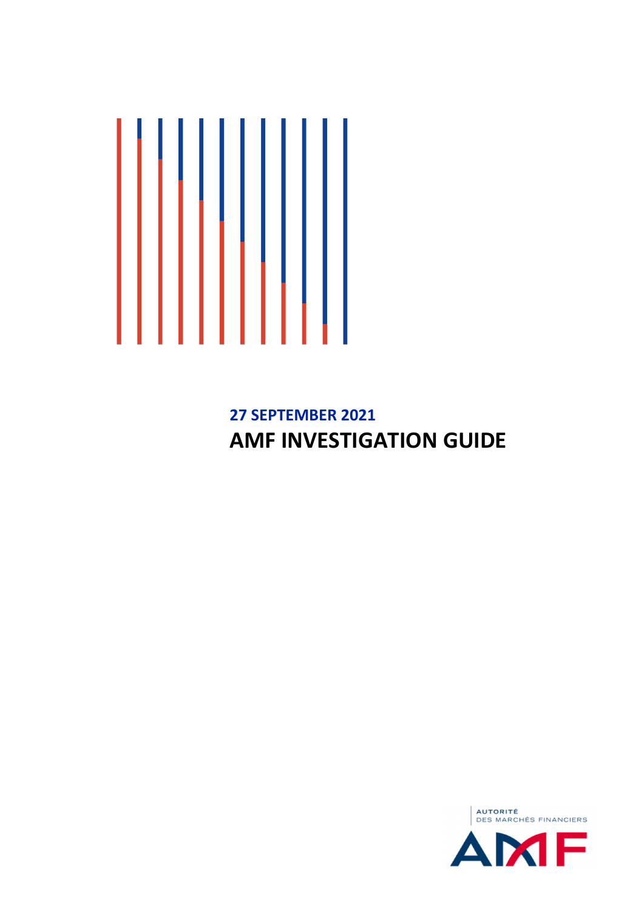

# **27 SEPTEMBER 2021 AMF INVESTIGATION GUIDE**

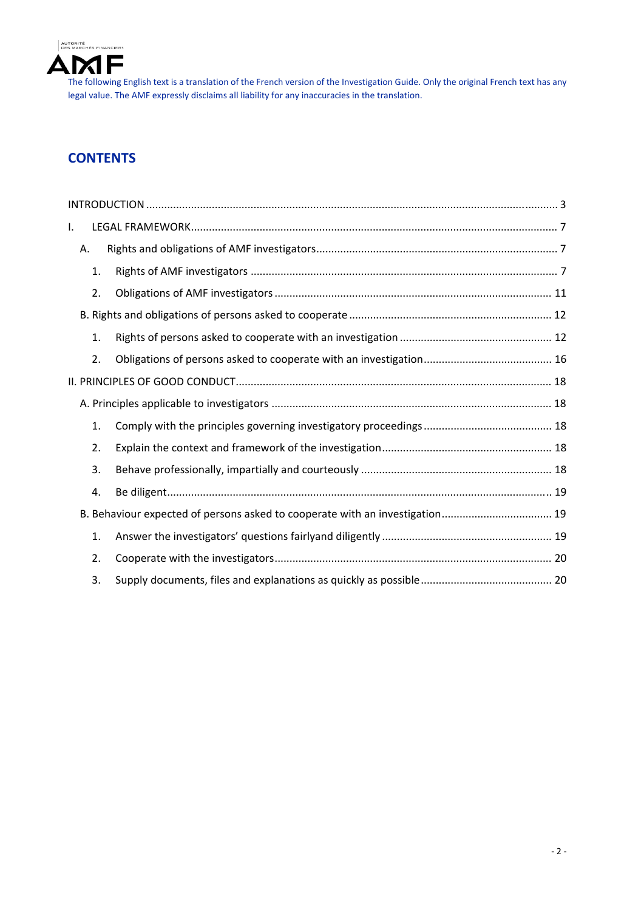

# **CONTENTS**

| I. |    |                                                                              |
|----|----|------------------------------------------------------------------------------|
|    | Α. |                                                                              |
|    | 1. |                                                                              |
|    | 2. |                                                                              |
|    |    |                                                                              |
|    | 1. |                                                                              |
|    | 2. |                                                                              |
|    |    |                                                                              |
|    |    |                                                                              |
|    | 1. |                                                                              |
|    | 2. |                                                                              |
|    | 3. |                                                                              |
|    | 4. |                                                                              |
|    |    | B. Behaviour expected of persons asked to cooperate with an investigation 19 |
|    | 1. |                                                                              |
|    | 2. |                                                                              |
|    | 3. |                                                                              |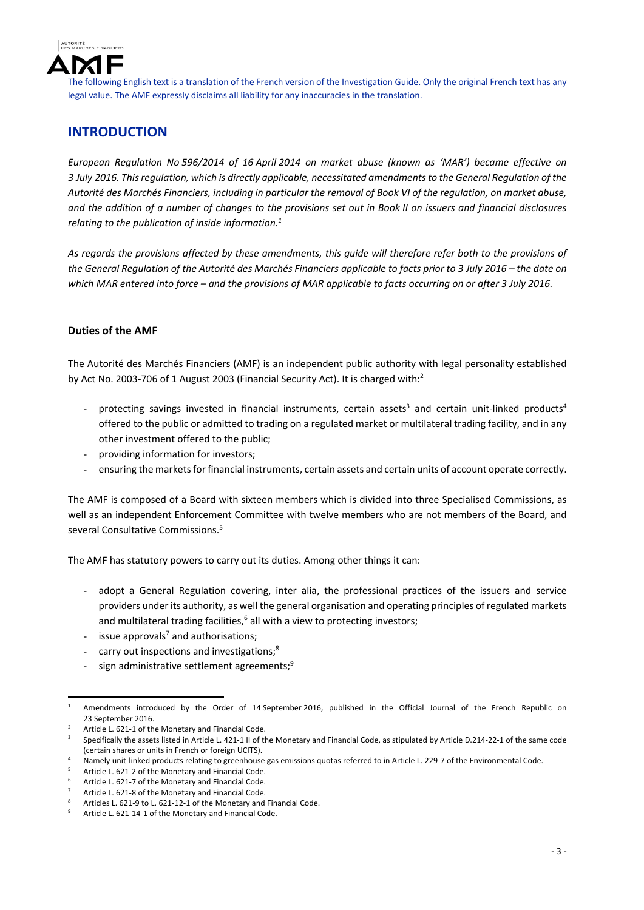

# **INTRODUCTION**

*European Regulation No 596/2014 of 16 April 2014 on market abuse (known as 'MAR') became effective on 3 July 2016. Thisregulation, which is directly applicable, necessitated amendmentsto the General Regulation of the* Autorité des Marchés Financiers, including in particular the removal of Book VI of the regulation, on market abuse, and the addition of a number of changes to the provisions set out in Book II on issuers and financial disclosures *relating to the publication of inside information.1* 

As regards the provisions affected by these amendments, this quide will therefore refer both to the provisions of the General Regulation of the Autorité des Marchés Financiers applicable to facts prior to 3 July 2016 - the date on which MAR entered into force - and the provisions of MAR applicable to facts occurring on or after 3 July 2016.

## **Duties of the AMF**

The Autorité des Marchés Financiers (AMF) is an independent public authority with legal personality established by Act No. 2003-706 of 1 August 2003 (Financial Security Act). It is charged with:<sup>2</sup>

- protecting savings invested in financial instruments, certain assets<sup>3</sup> and certain unit-linked products<sup>4</sup> offered to the public or admitted to trading on a regulated market or multilateral trading facility, and in any other investment offered to the public;
- providing information for investors;
- ensuring the markets for financial instruments, certain assets and certain units of account operate correctly.

The AMF is composed of a Board with sixteen members which is divided into three Specialised Commissions, as well as an independent Enforcement Committee with twelve members who are not members of the Board, and several Consultative Commissions.5

The AMF has statutory powers to carry out its duties. Among other things it can:

- adopt a General Regulation covering, inter alia, the professional practices of the issuers and service providers under its authority, as well the general organisation and operating principles of regulated markets and multilateral trading facilities, $6$  all with a view to protecting investors;
- issue approvals<sup>7</sup> and authorisations;
- carry out inspections and investigations;<sup>8</sup>
- sign administrative settlement agreements;<sup>9</sup>

 1 Amendments introduced by the Order of 14 September 2016, published in the Official Journal of the French Republic on 23 September 2016.

<sup>2</sup> Article L. 621‐1 of the Monetary and Financial Code.

<sup>3</sup> Specifically the assets listed in Article L. 421‐1 II of the Monetary and Financial Code, as stipulated by Article D.214‐22‐1 of the same code (certain shares or units in French or foreign UCITS).

<sup>4</sup> Namely unit‐linked products relating to greenhouse gas emissions quotas referred to in Article L. 229‐7 of the Environmental Code.

<sup>5</sup> Article L. 621‐2 of the Monetary and Financial Code.

<sup>6</sup> Article L. 621‐7 of the Monetary and Financial Code.

<sup>7</sup> Article L. 621‐8 of the Monetary and Financial Code.

<sup>8</sup> Articles L. 621‐9 to L. 621‐12‐1 of the Monetary and Financial Code.

<sup>9</sup> Article L. 621‐14‐1 of the Monetary and Financial Code.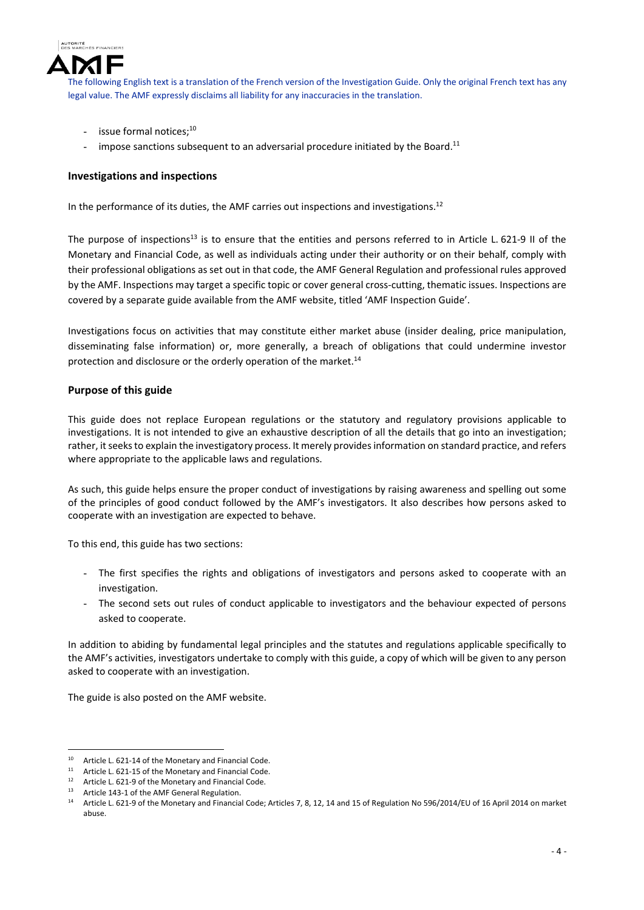

- issue formal notices;<sup>10</sup>
- impose sanctions subsequent to an adversarial procedure initiated by the Board. $11$

#### **Investigations and inspections**

In the performance of its duties, the AMF carries out inspections and investigations.<sup>12</sup>

The purpose of inspections<sup>13</sup> is to ensure that the entities and persons referred to in Article L. 621-9 II of the Monetary and Financial Code, as well as individuals acting under their authority or on their behalf, comply with their professional obligations as set out in that code, the AMF General Regulation and professional rules approved by the AMF. Inspections may target a specific topic or cover general cross-cutting, thematic issues. Inspections are covered by a separate guide available from the AMF website, titled 'AMF Inspection Guide'.

Investigations focus on activities that may constitute either market abuse (insider dealing, price manipulation, disseminating false information) or, more generally, a breach of obligations that could undermine investor protection and disclosure or the orderly operation of the market.<sup>14</sup>

#### **Purpose of this guide**

This guide does not replace European regulations or the statutory and regulatory provisions applicable to investigations. It is not intended to give an exhaustive description of all the details that go into an investigation; rather, it seeks to explain the investigatory process. It merely provides information on standard practice, and refers where appropriate to the applicable laws and regulations.

As such, this guide helps ensure the proper conduct of investigations by raising awareness and spelling out some of the principles of good conduct followed by the AMF's investigators. It also describes how persons asked to cooperate with an investigation are expected to behave.

To this end, this guide has two sections:

- The first specifies the rights and obligations of investigators and persons asked to cooperate with an investigation.
- The second sets out rules of conduct applicable to investigators and the behaviour expected of persons asked to cooperate.

In addition to abiding by fundamental legal principles and the statutes and regulations applicable specifically to the AMF's activities, investigators undertake to comply with this guide, a copy of which will be given to any person asked to cooperate with an investigation.

The guide is also posted on the AMF website.

<sup>&</sup>lt;sup>10</sup> Article L. 621-14 of the Monetary and Financial Code.<br><sup>11</sup> Article L. 621-15 of the Monetary and Financial Code.

<sup>11</sup> Article L. 621-15 of the Monetary and Financial Code.<br>12 Article L. 621.0 of the Monetary and Financial Code.

Article L. 621-9 of the Monetary and Financial Code.

<sup>13</sup> Article 143-1 of the AMF General Regulation.

<sup>14</sup> Article L. 621‐9 of the Monetary and Financial Code; Articles 7, 8, 12, 14 and 15 of Regulation No 596/2014/EU of 16 April 2014 on market abuse.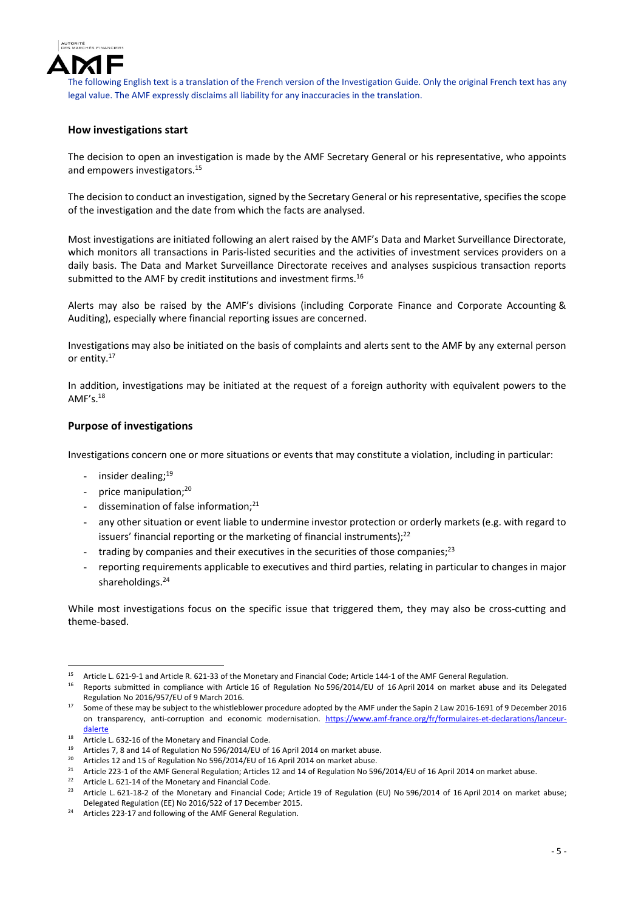

## **How investigations start**

The decision to open an investigation is made by the AMF Secretary General or his representative, who appoints and empowers investigators.<sup>15</sup>

The decision to conduct an investigation, signed by the Secretary General or his representative, specifies the scope of the investigation and the date from which the facts are analysed.

Most investigations are initiated following an alert raised by the AMF's Data and Market Surveillance Directorate, which monitors all transactions in Paris‐listed securities and the activities of investment services providers on a daily basis. The Data and Market Surveillance Directorate receives and analyses suspicious transaction reports submitted to the AMF by credit institutions and investment firms.<sup>16</sup>

Alerts may also be raised by the AMF's divisions (including Corporate Finance and Corporate Accounting & Auditing), especially where financial reporting issues are concerned.

Investigations may also be initiated on the basis of complaints and alerts sent to the AMF by any external person or entity.17

In addition, investigations may be initiated at the request of a foreign authority with equivalent powers to the  $AMF's$ <sup>18</sup>

#### **Purpose of investigations**

Investigations concern one or more situations or events that may constitute a violation, including in particular:

- insider dealing;<sup>19</sup>
- price manipulation:<sup>20</sup>
- dissemination of false information; $^{21}$
- any other situation or event liable to undermine investor protection or orderly markets (e.g. with regard to issuers' financial reporting or the marketing of financial instruments); $22$
- trading by companies and their executives in the securities of those companies: $^{23}$
- reporting requirements applicable to executives and third parties, relating in particular to changes in major shareholdings.<sup>24</sup>

While most investigations focus on the specific issue that triggered them, they may also be cross-cutting and theme‐based.

<sup>&</sup>lt;sup>15</sup> Article L. 621-9-1 and Article R. 621-33 of the Monetary and Financial Code; Article 144-1 of the AMF General Regulation.

<sup>16</sup> Reports submitted in compliance with Article 16 of Regulation No 596/2014/EU of 16 April 2014 on market abuse and its Delegated Regulation No 2016/957/EU of 9 March 2016.

<sup>&</sup>lt;sup>17</sup> Some of these may be subject to the whistleblower procedure adopted by the AMF under the Sapin 2 Law 2016-1691 of 9 December 2016 on transparency, anti‐corruption and economic modernisation. https://www.amf‐france.org/fr/formulaires‐et‐declarations/lanceur‐ dalerte

<sup>18</sup> Article L. 632-16 of the Monetary and Financial Code.

<sup>&</sup>lt;sup>19</sup> Articles 7, 8 and 14 of Regulation No 596/2014/EU of 16 April 2014 on market abuse.

<sup>&</sup>lt;sup>20</sup> Articles 12 and 15 of Regulation No 596/2014/EU of 16 April 2014 on market abuse.

<sup>&</sup>lt;sup>21</sup> Article 223-1 of the AMF General Regulation; Articles 12 and 14 of Regulation No 596/2014/EU of 16 April 2014 on market abuse.

<sup>&</sup>lt;sup>22</sup> Article L. 621-14 of the Monetary and Financial Code.<br><sup>23</sup> Article L. 621-18-2 of the Monetary and Financial Co

<sup>23</sup> Article L. 621‐18‐2 of the Monetary and Financial Code; Article 19 of Regulation (EU) No 596/2014 of 16 April 2014 on market abuse; Delegated Regulation (EE) No 2016/522 of 17 December 2015.

<sup>&</sup>lt;sup>24</sup> Articles 223-17 and following of the AMF General Regulation.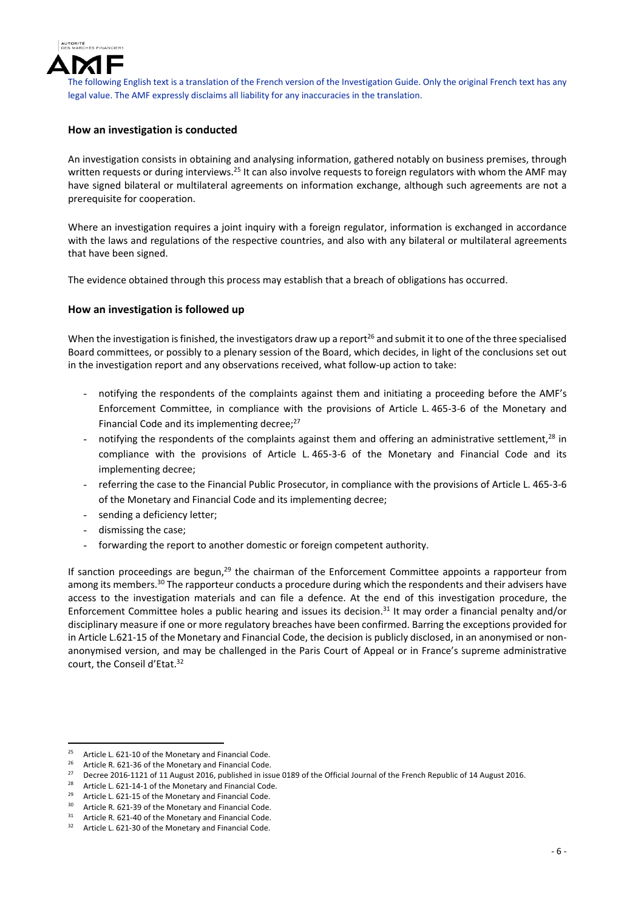

## **How an investigation is conducted**

An investigation consists in obtaining and analysing information, gathered notably on business premises, through written requests or during interviews.<sup>25</sup> It can also involve requests to foreign regulators with whom the AMF may have signed bilateral or multilateral agreements on information exchange, although such agreements are not a prerequisite for cooperation.

Where an investigation requires a joint inquiry with a foreign regulator, information is exchanged in accordance with the laws and regulations of the respective countries, and also with any bilateral or multilateral agreements that have been signed.

The evidence obtained through this process may establish that a breach of obligations has occurred.

#### **How an investigation is followed up**

When the investigation is finished, the investigators draw up a report<sup>26</sup> and submit it to one of the three specialised Board committees, or possibly to a plenary session of the Board, which decides, in light of the conclusions set out in the investigation report and any observations received, what follow-up action to take:

- notifying the respondents of the complaints against them and initiating a proceeding before the AMF's Enforcement Committee, in compliance with the provisions of Article L. 465‐3‐6 of the Monetary and Financial Code and its implementing decree;<sup>27</sup>
- notifying the respondents of the complaints against them and offering an administrative settlement, $^{28}$  in compliance with the provisions of Article L. 465‐3‐6 of the Monetary and Financial Code and its implementing decree;
- referring the case to the Financial Public Prosecutor, in compliance with the provisions of Article L. 465-3-6 of the Monetary and Financial Code and its implementing decree;
- sending a deficiency letter;
- dismissing the case;
- forwarding the report to another domestic or foreign competent authority.

If sanction proceedings are begun, $^{29}$  the chairman of the Enforcement Committee appoints a rapporteur from among its members.<sup>30</sup> The rapporteur conducts a procedure during which the respondents and their advisers have access to the investigation materials and can file a defence. At the end of this investigation procedure, the Enforcement Committee holes a public hearing and issues its decision.31 It may order a financial penalty and/or disciplinary measure if one or more regulatory breaches have been confirmed. Barring the exceptions provided for in Article L.621-15 of the Monetary and Financial Code, the decision is publicly disclosed, in an anonymised or nonanonymised version, and may be challenged in the Paris Court of Appeal or in France's supreme administrative court, the Conseil d'Etat.<sup>32</sup>

<sup>&</sup>lt;sup>25</sup> Article L. 621-10 of the Monetary and Financial Code.

<sup>&</sup>lt;sup>26</sup> Article R. 621-36 of the Monetary and Financial Code.<br><sup>27</sup> Decree 2016 1121 of 11 August 2016, published in iss

<sup>&</sup>lt;sup>27</sup> Decree 2016-1121 of 11 August 2016, published in issue 0189 of the Official Journal of the French Republic of 14 August 2016.

Article L. 621-14-1 of the Monetary and Financial Code.

<sup>&</sup>lt;sup>29</sup> Article L. 621-15 of the Monetary and Financial Code.

<sup>&</sup>lt;sup>30</sup> Article R. 621-39 of the Monetary and Financial Code.<br><sup>31</sup> Article R. 621-40 of the Monetary and Financial Code.

<sup>&</sup>lt;sup>31</sup> Article R. 621-40 of the Monetary and Financial Code.<br><sup>32</sup> Article L. 621, 20 of the Monetary and Financial Code.

Article L. 621-30 of the Monetary and Financial Code.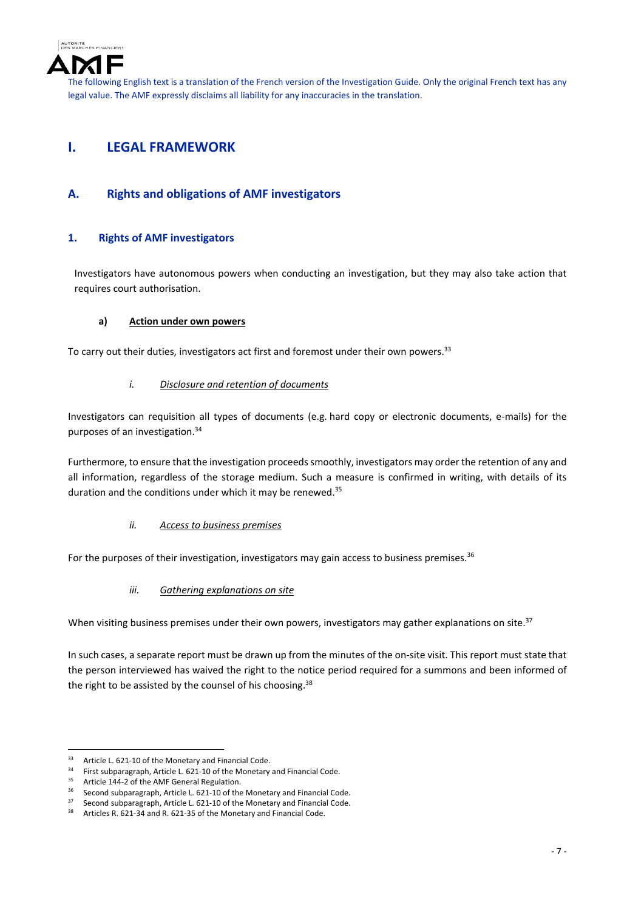

## **I. LEGAL FRAMEWORK**

## **A. Rights and obligations of AMF investigators**

## **1. Rights of AMF investigators**

Investigators have autonomous powers when conducting an investigation, but they may also take action that requires court authorisation.

#### **a) Action under own powers**

To carry out their duties, investigators act first and foremost under their own powers.<sup>33</sup>

#### *i. Disclosure and retention of documents*

Investigators can requisition all types of documents (e.g. hard copy or electronic documents, e‐mails) for the purposes of an investigation.34

Furthermore, to ensure that the investigation proceeds smoothly, investigators may order the retention of any and all information, regardless of the storage medium. Such a measure is confirmed in writing, with details of its duration and the conditions under which it may be renewed.<sup>35</sup>

## *ii. Access to business premises*

For the purposes of their investigation, investigators may gain access to business premises.<sup>36</sup>

## *iii. Gathering explanations on site*

When visiting business premises under their own powers, investigators may gather explanations on site.<sup>37</sup>

In such cases, a separate report must be drawn up from the minutes of the on-site visit. This report must state that the person interviewed has waived the right to the notice period required for a summons and been informed of the right to be assisted by the counsel of his choosing.<sup>38</sup>

<sup>&</sup>lt;sup>33</sup> Article L. 621-10 of the Monetary and Financial Code.<br><sup>34</sup> Eirct subparagraph Article L. 621-10 of the Monetary

<sup>&</sup>lt;sup>34</sup> First subparagraph, Article L. 621-10 of the Monetary and Financial Code.<br><sup>35</sup> Article 144.2 of the AME Conexel Boxulation

<sup>&</sup>lt;sup>35</sup> Article 144-2 of the AMF General Regulation.

<sup>&</sup>lt;sup>36</sup> Second subparagraph, Article L. 621-10 of the Monetary and Financial Code.<br><sup>37</sup> Second subparagraph, Article L. 621-10 of the Monetary and Financial Code.

<sup>&</sup>lt;sup>37</sup> Second subparagraph, Article L. 621-10 of the Monetary and Financial Code.<br><sup>38</sup> Articles R 621-34 and R 621-35 of the Monetary and Financial Code

<sup>38</sup> Articles R. 621‐34 and R. 621‐35 of the Monetary and Financial Code.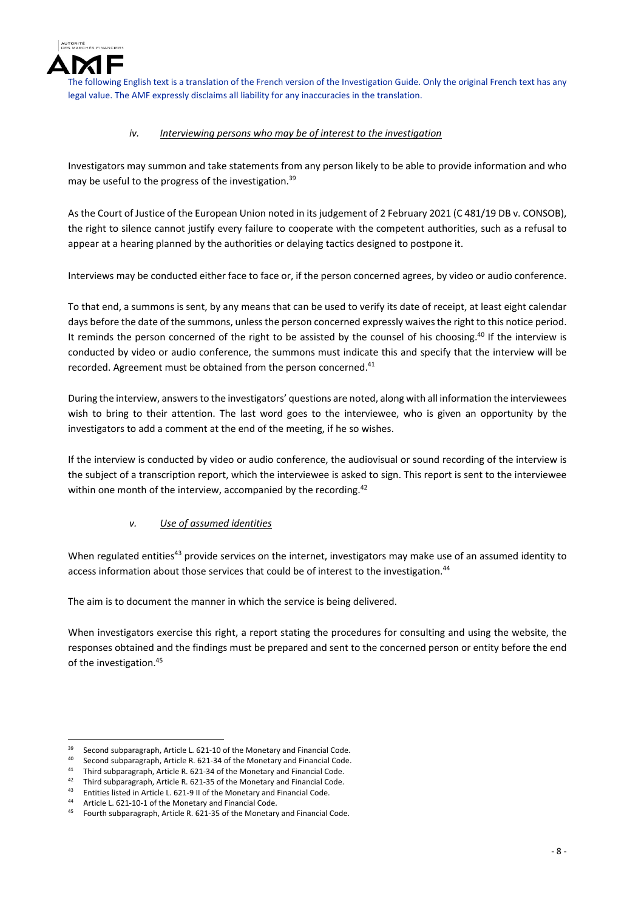

## *iv. Interviewing persons who may be of interest to the investigation*

Investigators may summon and take statements from any person likely to be able to provide information and who may be useful to the progress of the investigation.<sup>39</sup>

As the Court of Justice of the European Union noted in its judgement of 2 February 2021 (C 481/19 DB v. CONSOB), the right to silence cannot justify every failure to cooperate with the competent authorities, such as a refusal to appear at a hearing planned by the authorities or delaying tactics designed to postpone it.

Interviews may be conducted either face to face or, if the person concerned agrees, by video or audio conference.

To that end, a summons is sent, by any means that can be used to verify its date of receipt, at least eight calendar days before the date of the summons, unless the person concerned expressly waives the right to this notice period. It reminds the person concerned of the right to be assisted by the counsel of his choosing.<sup>40</sup> If the interview is conducted by video or audio conference, the summons must indicate this and specify that the interview will be recorded. Agreement must be obtained from the person concerned.<sup>41</sup>

During the interview, answersto the investigators' questions are noted, along with all information the interviewees wish to bring to their attention. The last word goes to the interviewee, who is given an opportunity by the investigators to add a comment at the end of the meeting, if he so wishes.

If the interview is conducted by video or audio conference, the audiovisual or sound recording of the interview is the subject of a transcription report, which the interviewee is asked to sign. This report is sent to the interviewee within one month of the interview, accompanied by the recording.<sup>42</sup>

## *v. Use of assumed identities*

When regulated entities<sup>43</sup> provide services on the internet, investigators may make use of an assumed identity to access information about those services that could be of interest to the investigation.44

The aim is to document the manner in which the service is being delivered.

When investigators exercise this right, a report stating the procedures for consulting and using the website, the responses obtained and the findings must be prepared and sent to the concerned person or entity before the end of the investigation.45

 <sup>39</sup> Second subparagraph, Article L. 621-10 of the Monetary and Financial Code.<br><sup>40</sup> Second subparagraph, Article B. 631-24 of the Monetary and Financial Code.

<sup>&</sup>lt;sup>40</sup> Second subparagraph, Article R. 621-34 of the Monetary and Financial Code.<br><sup>41</sup> Third subparagraph, Article R. 621-34 of the Monetary and Financial Code.

<sup>&</sup>lt;sup>41</sup> Third subparagraph, Article R. 621-34 of the Monetary and Financial Code.<br><sup>42</sup> Third subparagraph, Article B. 621.25 of the Monetary and Financial Code.

<sup>&</sup>lt;sup>42</sup> Third subparagraph, Article R. 621-35 of the Monetary and Financial Code.<br><sup>43</sup> Entities listed in Article L. 631.0 ll of the Monetary and Financial Code.

<sup>43</sup> Entities listed in Article L. 621-9 II of the Monetary and Financial Code.<br>44 Article L. 621-10-1 of the Monetary and Financial Code.

Article L. 621-10-1 of the Monetary and Financial Code.

<sup>45</sup> Fourth subparagraph, Article R. 621‐35 of the Monetary and Financial Code.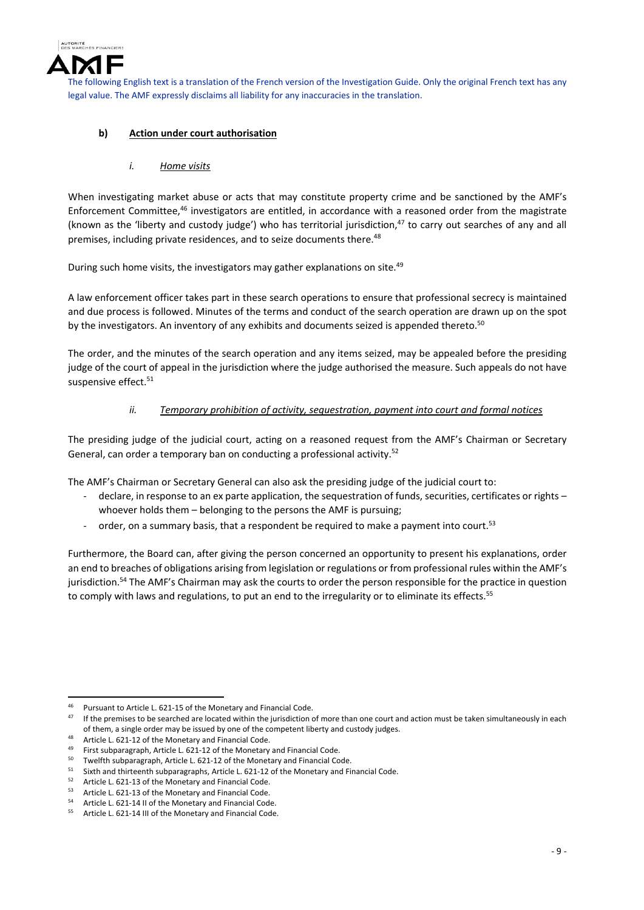

## **b) Action under court authorisation**

*i. Home visits*

When investigating market abuse or acts that may constitute property crime and be sanctioned by the AMF's Enforcement Committee,46 investigators are entitled, in accordance with a reasoned order from the magistrate (known as the 'liberty and custody judge') who has territorial jurisdiction,<sup>47</sup> to carry out searches of any and all premises, including private residences, and to seize documents there.<sup>48</sup>

During such home visits, the investigators may gather explanations on site.<sup>49</sup>

A law enforcement officer takes part in these search operations to ensure that professional secrecy is maintained and due process is followed. Minutes of the terms and conduct of the search operation are drawn up on the spot by the investigators. An inventory of any exhibits and documents seized is appended thereto.<sup>50</sup>

The order, and the minutes of the search operation and any items seized, may be appealed before the presiding judge of the court of appeal in the jurisdiction where the judge authorised the measure. Such appeals do not have suspensive effect.<sup>51</sup>

## *ii. Temporary prohibition of activity, sequestration, payment into court and formal notices*

The presiding judge of the judicial court, acting on a reasoned request from the AMF's Chairman or Secretary General, can order a temporary ban on conducting a professional activity.<sup>52</sup>

The AMF's Chairman or Secretary General can also ask the presiding judge of the judicial court to:

- declare, in response to an ex parte application, the sequestration of funds, securities, certificates or rights whoever holds them – belonging to the persons the AMF is pursuing;
- order, on a summary basis, that a respondent be required to make a payment into court.<sup>53</sup>

Furthermore, the Board can, after giving the person concerned an opportunity to present his explanations, order an end to breaches of obligations arising from legislation or regulations or from professional rules within the AMF's jurisdiction.54 The AMF's Chairman may ask the courts to order the person responsible for the practice in question to comply with laws and regulations, to put an end to the irregularity or to eliminate its effects.<sup>55</sup>

 <sup>46</sup> Pursuant to Article L. 621-15 of the Monetary and Financial Code.<br><sup>47</sup> If the assemises to be seerabed are located within the insighiting of

If the premises to be searched are located within the jurisdiction of more than one court and action must be taken simultaneously in each of them, a single order may be issued by one of the competent liberty and custody judges.

Article L. 621-12 of the Monetary and Financial Code.

<sup>&</sup>lt;sup>49</sup> First subparagraph, Article L. 621-12 of the Monetary and Financial Code.<br><sup>50</sup> Turel<sup>t</sup>the unbasegraph Article L. 631-12 of the Monetary and Financial Co.

<sup>&</sup>lt;sup>50</sup> Twelfth subparagraph, Article L. 621-12 of the Monetary and Financial Code.<br><sup>51</sup> Sixth and thirtoonth subparagraphs, Article L. 621-12 of the Monetary and Fin

<sup>51</sup> Sixth and thirteenth subparagraphs, Article L. 621-12 of the Monetary and Financial Code.

<sup>&</sup>lt;sup>52</sup> Article L. 621-13 of the Monetary and Financial Code.<br> $53$  Article L. 621-12 of the Manetary and Financial Code.

<sup>53</sup> Article L. 621‐13 of the Monetary and Financial Code.

<sup>&</sup>lt;sup>54</sup> Article L. 621-14 II of the Monetary and Financial Code.<br><sup>55</sup> Article L. 621-14 III of the Monetary and Financial Code.

Article L. 621-14 III of the Monetary and Financial Code.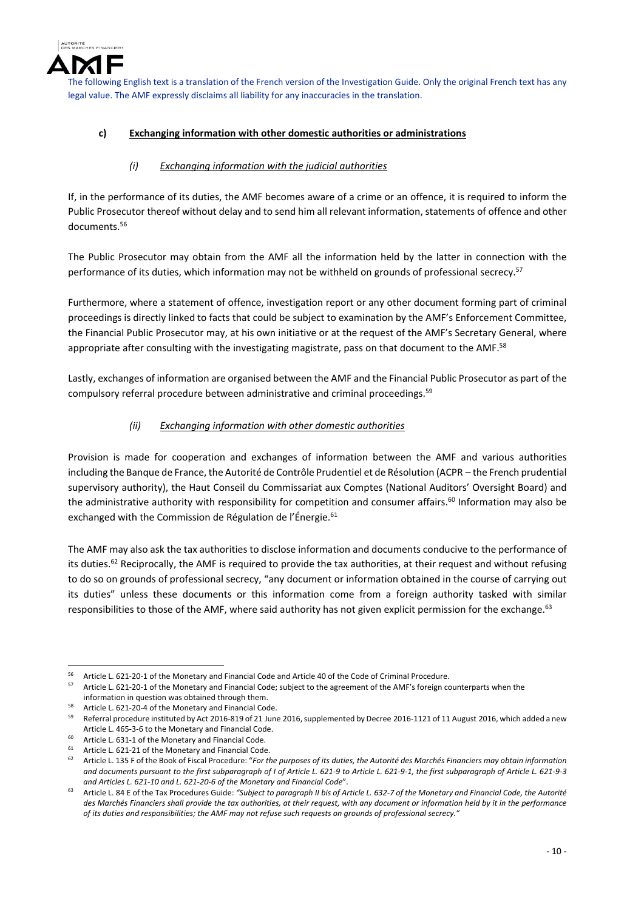

## **c) Exchanging information with other domestic authorities or administrations**

## *(i) Exchanging information with the judicial authorities*

If, in the performance of its duties, the AMF becomes aware of a crime or an offence, it is required to inform the Public Prosecutor thereof without delay and to send him all relevant information, statements of offence and other documents.<sup>56</sup>

The Public Prosecutor may obtain from the AMF all the information held by the latter in connection with the performance of its duties, which information may not be withheld on grounds of professional secrecy.<sup>57</sup>

Furthermore, where a statement of offence, investigation report or any other document forming part of criminal proceedings is directly linked to facts that could be subject to examination by the AMF's Enforcement Committee, the Financial Public Prosecutor may, at his own initiative or at the request of the AMF's Secretary General, where appropriate after consulting with the investigating magistrate, pass on that document to the AMF.<sup>58</sup>

Lastly, exchanges of information are organised between the AMF and the Financial Public Prosecutor as part of the compulsory referral procedure between administrative and criminal proceedings.<sup>59</sup>

## *(ii) Exchanging information with other domestic authorities*

Provision is made for cooperation and exchanges of information between the AMF and various authorities including the Banque de France, the Autorité de Contrôle Prudentiel et de Résolution (ACPR – the French prudential supervisory authority), the Haut Conseil du Commissariat aux Comptes (National Auditors' Oversight Board) and the administrative authority with responsibility for competition and consumer affairs.<sup>60</sup> Information may also be exchanged with the Commission de Régulation de l'Énergie.<sup>61</sup>

The AMF may also ask the tax authorities to disclose information and documents conducive to the performance of its duties.<sup>62</sup> Reciprocally, the AMF is required to provide the tax authorities, at their request and without refusing to do so on grounds of professional secrecy, "any document or information obtained in the course of carrying out its duties" unless these documents or this information come from a foreign authority tasked with similar responsibilities to those of the AMF, where said authority has not given explicit permission for the exchange.<sup>63</sup>

 56 Article L. 621-20-1 of the Monetary and Financial Code and Article 40 of the Code of Criminal Procedure.<br>57 Article L. 631-30-1 of the Monetary and Financial Codey subject to the agreement of the AME's family as

Article L. 621-20-1 of the Monetary and Financial Code; subject to the agreement of the AMF's foreign counterparts when the information in question was obtained through them.

<sup>&</sup>lt;sup>58</sup> Article L. 621-20-4 of the Monetary and Financial Code.

<sup>59</sup> Referral procedure instituted by Act 2016‐819 of 21 June 2016,supplemented by Decree 2016‐1121 of 11 August 2016, which added a new Article L. 465‐3‐6 to the Monetary and Financial Code.

<sup>&</sup>lt;sup>60</sup> Article L. 631-1 of the Monetary and Financial Code.<br> $\frac{61}{2}$  Article L. 631-31 of the Monetary and Financial Code.

<sup>&</sup>lt;sup>61</sup> Article L. 621-21 of the Monetary and Financial Code.<br><sup>62</sup> Article L. 125 E of the Book of Fiscal Procedure: "For the

Article L. 135 F of the Book of Fiscal Procedure: "For the purposes of its duties, the Autorité des Marchés Financiers may obtain information and documents pursuant to the first subparagraph of I of Article L. 621-9 to Article L. 621-9-1, the first subparagraph of Article L. 621-9-3 *and Articles L. 621‐10 and L. 621‐20‐6 of the Monetary and Financial Code*".

Article L. 84 E of the Tax Procedures Guide: "Subject to paragraph II bis of Article L. 632-7 of the Monetary and Financial Code, the Autorité des Marchés Financiers shall provide the tax authorities, at their request, with any document or information held by it in the performance of its duties and responsibilities; the AMF may not refuse such requests on grounds of professional secrecy."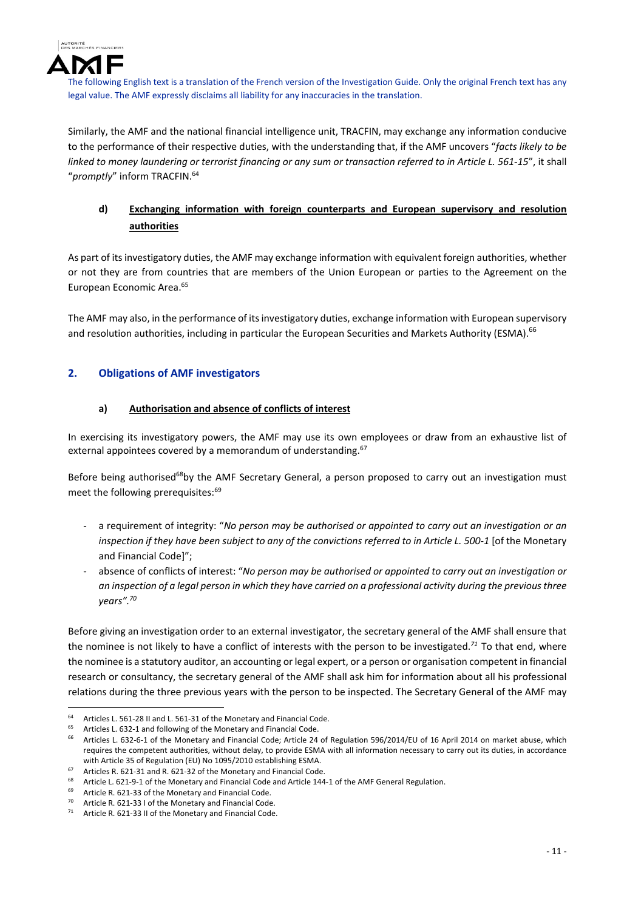

Similarly, the AMF and the national financial intelligence unit, TRACFIN, may exchange any information conducive to the performance of their respective duties, with the understanding that, if the AMF uncovers "*facts likely to be* linked to money laundering or terrorist financing or any sum or transaction referred to in Article L. 561-15", it shall "*promptly*" inform TRACFIN.64

## **d) Exchanging information with foreign counterparts and European supervisory and resolution authorities**

As part of itsinvestigatory duties, the AMF may exchange information with equivalent foreign authorities, whether or not they are from countries that are members of the Union European or parties to the Agreement on the European Economic Area.65

The AMF may also, in the performance of itsinvestigatory duties, exchange information with European supervisory and resolution authorities, including in particular the European Securities and Markets Authority (ESMA).<sup>66</sup>

## **2. Obligations of AMF investigators**

## **a) Authorisation and absence of conflicts of interest**

In exercising its investigatory powers, the AMF may use its own employees or draw from an exhaustive list of external appointees covered by a memorandum of understanding.<sup>67</sup>

Before being authorised<sup>68</sup>by the AMF Secretary General, a person proposed to carry out an investigation must meet the following prerequisites:<sup>69</sup>

- ‐ a requirement of integrity: "*No person may be authorised or appointed to carry out an investigation or an* inspection if they have been subject to any of the convictions referred to in Article L. 500-1 [of the Monetary and Financial Code]";
- ‐ absence of conflicts of interest: "*No person may be authorised or appointed to carry out an investigation or* an inspection of a legal person in which they have carried on a professional activity during the previous three *years".70*

Before giving an investigation order to an external investigator, the secretary general of the AMF shall ensure that the nominee is not likely to have a conflict of interests with the person to be investigated.*<sup>71</sup>* To that end, where the nominee is a statutory auditor, an accounting or legal expert, or a person or organisation competent in financial research or consultancy, the secretary general of the AMF shall ask him for information about all his professional relations during the three previous years with the person to be inspected. The Secretary General of the AMF may

<sup>64</sup> Articles L. 561-28 II and L. 561-31 of the Monetary and Financial Code.

<sup>&</sup>lt;sup>65</sup> Articles L. 632-1 and following of the Monetary and Financial Code.<br><sup>66</sup> Articles L. 632-6-1 of the Monetary and Financial Code: Article 24

Articles L. 632-6-1 of the Monetary and Financial Code; Article 24 of Regulation 596/2014/EU of 16 April 2014 on market abuse, which requires the competent authorities, without delay, to provide ESMA with all information necessary to carry out its duties, in accordance with Article 35 of Regulation (EU) No 1095/2010 establishing ESMA.

Articles R. 621-31 and R. 621-32 of the Monetary and Financial Code.

Article L. 621-9-1 of the Monetary and Financial Code and Article 144-1 of the AMF General Regulation.

<sup>69</sup> Article R. 621-33 of the Monetary and Financial Code.<br> $70A$  Article B. 621-22 Lof the Monetary and Financial Code

<sup>&</sup>lt;sup>70</sup> Article R. 621-33 I of the Monetary and Financial Code.<br><sup>71</sup> Article R. 621-33 II of the Monetary and Financial Code.

Article R. 621-33 II of the Monetary and Financial Code.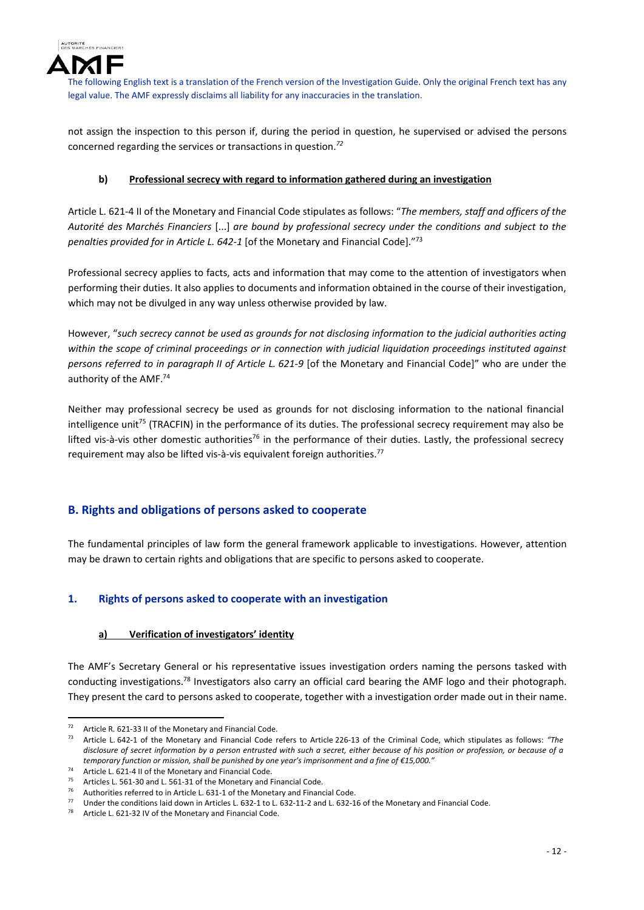

not assign the inspection to this person if, during the period in question, he supervised or advised the persons concerned regarding the services or transactions in question.*<sup>72</sup>*

## **b) Professional secrecy with regard to information gathered during an investigation**

Article L. 621‐4 II of the Monetary and Financial Code stipulates as follows: "*The members, staff and officers of the Autorité des Marchés Financiers* [...] *are bound by professional secrecy under the conditions and subject to the penalties provided for in Article L. 642‐1* [of the Monetary and Financial Code]."73

Professional secrecy applies to facts, acts and information that may come to the attention of investigators when performing their duties. It also applies to documents and information obtained in the course of their investigation, which may not be divulged in any way unless otherwise provided by law.

However, "such secrecy cannot be used as grounds for not disclosing information to the judicial authorities acting *within the scope of criminal proceedings or in connection with judicial liquidation proceedings instituted against persons referred to in paragraph II of Article L. 621‐9* [of the Monetary and Financial Code]" who are under the authority of the AMF.74

Neither may professional secrecy be used as grounds for not disclosing information to the national financial intelligence unit<sup>75</sup> (TRACFIN) in the performance of its duties. The professional secrecy requirement may also be lifted vis-à-vis other domestic authorities<sup>76</sup> in the performance of their duties. Lastly, the professional secrecy requirement may also be lifted vis-à-vis equivalent foreign authorities.<sup>77</sup>

## **B. Rights and obligations of persons asked to cooperate**

The fundamental principles of law form the general framework applicable to investigations. However, attention may be drawn to certain rights and obligations that are specific to persons asked to cooperate.

## **1. Rights of persons asked to cooperate with an investigation**

## **a) Verification of investigators' identity**

The AMF's Secretary General or his representative issues investigation orders naming the persons tasked with conducting investigations.78 Investigators also carry an official card bearing the AMF logo and their photograph. They present the card to persons asked to cooperate, together with a investigation order made out in their name.

 72 Article R. 621-33 II of the Monetary and Financial Code.

<sup>73</sup> Article L. 642‐1 of the Monetary and Financial Code refers to Article 226‐13 of the Criminal Code, which stipulates as follows: *"The* disclosure of secret information by a person entrusted with such a secret, either because of his position or profession, or because of a *temporary function or mission, shall be punished by one year's imprisonment and a fine of €15,000."*

Article L. 621-4 II of the Monetary and Financial Code.

<sup>&</sup>lt;sup>75</sup> Articles L. 561-30 and L. 561-31 of the Monetary and Financial Code.<br><sup>76</sup> Authorities referred to in Article L. 631.1 of the Monetary and Financ

<sup>&</sup>lt;sup>76</sup> Authorities referred to in Article L. 631-1 of the Monetary and Financial Code.<br><sup>77</sup> Hader the conditions laid down in Articles L. 632, 11n L. 632, 11.2 and L. 632, 1

Under the conditions laid down in Articles L. 632-1 to L. 632-11-2 and L. 632-16 of the Monetary and Financial Code.

Article L. 621-32 IV of the Monetary and Financial Code.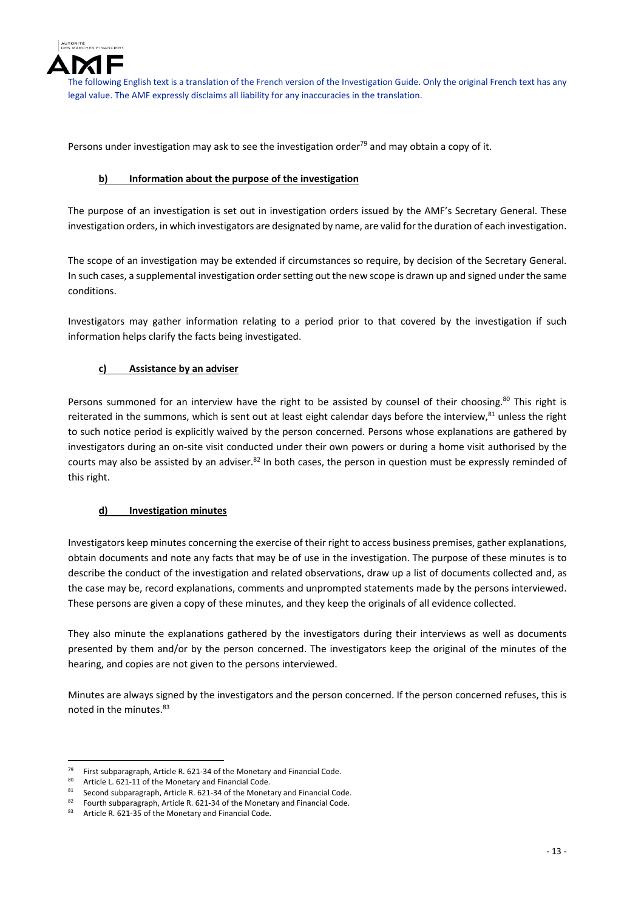

Persons under investigation may ask to see the investigation order $79$  and may obtain a copy of it.

#### **b) Information about the purpose of the investigation**

The purpose of an investigation is set out in investigation orders issued by the AMF's Secretary General. These investigation orders, in which investigators are designated by name, are valid forthe duration of each investigation.

The scope of an investigation may be extended if circumstances so require, by decision of the Secretary General. In such cases, a supplemental investigation order setting out the new scope is drawn up and signed under the same conditions.

Investigators may gather information relating to a period prior to that covered by the investigation if such information helps clarify the facts being investigated.

## **c) Assistance by an adviser**

Persons summoned for an interview have the right to be assisted by counsel of their choosing.<sup>80</sup> This right is reiterated in the summons, which is sent out at least eight calendar days before the interview, $81$  unless the right to such notice period is explicitly waived by the person concerned. Persons whose explanations are gathered by investigators during an on‐site visit conducted under their own powers or during a home visit authorised by the courts may also be assisted by an adviser. $82$  In both cases, the person in question must be expressly reminded of this right.

#### **d) Investigation minutes**

Investigators keep minutes concerning the exercise of their right to access business premises, gather explanations, obtain documents and note any facts that may be of use in the investigation. The purpose of these minutes is to describe the conduct of the investigation and related observations, draw up a list of documents collected and, as the case may be, record explanations, comments and unprompted statements made by the persons interviewed. These persons are given a copy of these minutes, and they keep the originals of all evidence collected.

They also minute the explanations gathered by the investigators during their interviews as well as documents presented by them and/or by the person concerned. The investigators keep the original of the minutes of the hearing, and copies are not given to the persons interviewed.

Minutes are always signed by the investigators and the person concerned. If the person concerned refuses, this is noted in the minutes.83

<sup>&</sup>lt;sup>79</sup> First subparagraph, Article R. 621-34 of the Monetary and Financial Code.<br><sup>80</sup> Article J. 621-11 of the Monetary and Financial Code.

<sup>80</sup> Article L. 621-11 of the Monetary and Financial Code.<br> $81.$  Second subperservable Article B. 631.24 of the Monet

<sup>&</sup>lt;sup>81</sup> Second subparagraph, Article R. 621-34 of the Monetary and Financial Code.<br><sup>82</sup> Equath subparagraph, Article B. 621-24 of the Monetary and Financial Code.

<sup>82</sup> Fourth subparagraph, Article R. 621-34 of the Monetary and Financial Code.<br>83 Article R. 621-35 of the Monetary and Financial Code

Article R. 621-35 of the Monetary and Financial Code.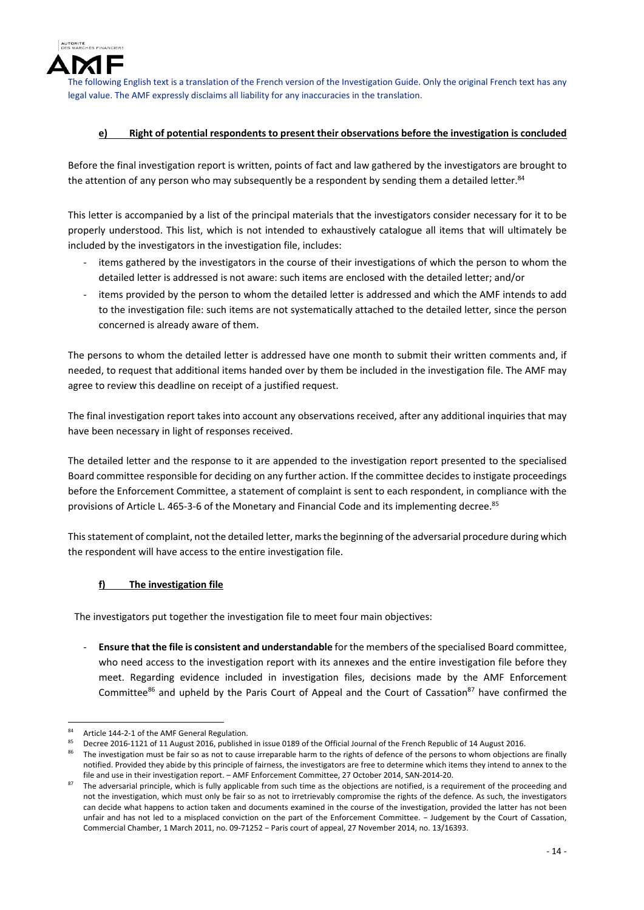

## **e) Right of potential respondents to present their observations before the investigation is concluded**

Before the final investigation report is written, points of fact and law gathered by the investigators are brought to the attention of any person who may subsequently be a respondent by sending them a detailed letter.<sup>84</sup>

This letter is accompanied by a list of the principal materials that the investigators consider necessary for it to be properly understood. This list, which is not intended to exhaustively catalogue all items that will ultimately be included by the investigators in the investigation file, includes:

- items gathered by the investigators in the course of their investigations of which the person to whom the detailed letter is addressed is not aware: such items are enclosed with the detailed letter; and/or
- items provided by the person to whom the detailed letter is addressed and which the AMF intends to add to the investigation file: such items are not systematically attached to the detailed letter, since the person concerned is already aware of them.

The persons to whom the detailed letter is addressed have one month to submit their written comments and, if needed, to request that additional items handed over by them be included in the investigation file. The AMF may agree to review this deadline on receipt of a justified request.

The final investigation report takes into account any observations received, after any additional inquiries that may have been necessary in light of responses received.

The detailed letter and the response to it are appended to the investigation report presented to the specialised Board committee responsible for deciding on any further action. If the committee decides to instigate proceedings before the Enforcement Committee, a statement of complaint is sent to each respondent, in compliance with the provisions of Article L. 465-3-6 of the Monetary and Financial Code and its implementing decree.<sup>85</sup>

This statement of complaint, not the detailed letter, marks the beginning of the adversarial procedure during which the respondent will have access to the entire investigation file.

## **f) The investigation file**

The investigators put together the investigation file to meet four main objectives:

‐ **Ensure that the file is consistent and understandable** for the members of the specialised Board committee, who need access to the investigation report with its annexes and the entire investigation file before they meet. Regarding evidence included in investigation files, decisions made by the AMF Enforcement Committee<sup>86</sup> and upheld by the Paris Court of Appeal and the Court of Cassation<sup>87</sup> have confirmed the

 84 Article 144-2-1 of the AMF General Regulation.

<sup>85</sup> Decree 2016‐1121 of 11 August 2016, published in issue 0189 of the Official Journal of the French Republic of 14 August 2016.

The investigation must be fair so as not to cause irreparable harm to the rights of defence of the persons to whom objections are finally notified. Provided they abide by this principle of fairness, the investigators are free to determine which items they intend to annex to the file and use in their investigation report. – AMF Enforcement Committee, 27 October 2014, SAN‐2014‐20.

The adversarial principle, which is fully applicable from such time as the objections are notified, is a requirement of the proceeding and not the investigation, which must only be fair so as not to irretrievably compromise the rights of the defence. As such, the investigators can decide what happens to action taken and documents examined in the course of the investigation, provided the latter has not been unfair and has not led to a misplaced conviction on the part of the Enforcement Committee. − Judgement by the Court of Cassation, Commercial Chamber, 1 March 2011, no. 09‐71252 − Paris court of appeal, 27 November 2014, no. 13/16393.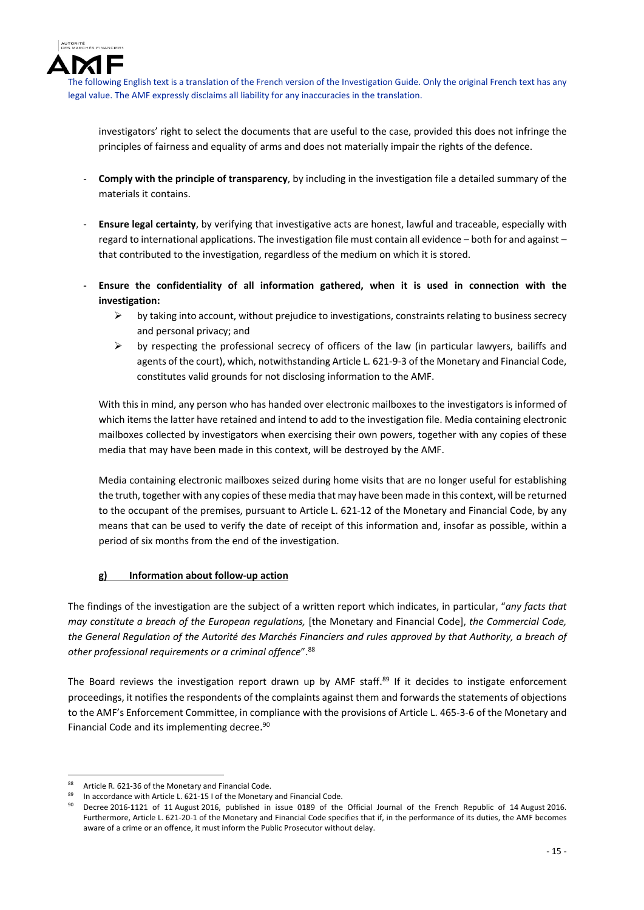

investigators' right to select the documents that are useful to the case, provided this does not infringe the principles of fairness and equality of arms and does not materially impair the rights of the defence.

- ‐ **Comply with the principle of transparency**, by including in the investigation file a detailed summary of the materials it contains.
- ‐ **Ensure legal certainty**, by verifying that investigative acts are honest, lawful and traceable, especially with regard to international applications. The investigation file must contain all evidence – both for and against – that contributed to the investigation, regardless of the medium on which it is stored.
- **‐ Ensure the confidentiality of all information gathered, when it is used in connection with the investigation:**
	- $\triangleright$  by taking into account, without prejudice to investigations, constraints relating to business secrecy and personal privacy; and
	- $\triangleright$  by respecting the professional secrecy of officers of the law (in particular lawyers, bailiffs and agents of the court), which, notwithstanding Article L. 621-9-3 of the Monetary and Financial Code, constitutes valid grounds for not disclosing information to the AMF.

With this in mind, any person who has handed over electronic mailboxes to the investigators is informed of which items the latter have retained and intend to add to the investigation file. Media containing electronic mailboxes collected by investigators when exercising their own powers, together with any copies of these media that may have been made in this context, will be destroyed by the AMF.

Media containing electronic mailboxes seized during home visits that are no longer useful for establishing the truth, together with any copies of these media that may have been made in this context, will be returned to the occupant of the premises, pursuant to Article L. 621‐12 of the Monetary and Financial Code, by any means that can be used to verify the date of receipt of this information and, insofar as possible, within a period of six months from the end of the investigation.

## **g) Information about follow‐up action**

The findings of the investigation are the subject of a written report which indicates, in particular, "*any facts that may constitute a breach of the European regulations,* [the Monetary and Financial Code], *the Commercial Code,* the General Regulation of the Autorité des Marchés Financiers and rules approved by that Authority, a breach of *other professional requirements or a criminal offence*".88

The Board reviews the investigation report drawn up by AMF staff.<sup>89</sup> If it decides to instigate enforcement proceedings, it notifies the respondents of the complaints against them and forwardsthe statements of objections to the AMF's Enforcement Committee, in compliance with the provisions of Article L. 465‐3‐6 of the Monetary and Financial Code and its implementing decree.<sup>90</sup>

 Article R. 621-36 of the Monetary and Financial Code.

In accordance with Article L. 621-15 I of the Monetary and Financial Code.

Decree 2016-1121 of 11 August 2016, published in issue 0189 of the Official Journal of the French Republic of 14 August 2016. Furthermore, Article L. 621‐20‐1 of the Monetary and Financial Code specifies that if, in the performance of its duties, the AMF becomes aware of a crime or an offence, it must inform the Public Prosecutor without delay.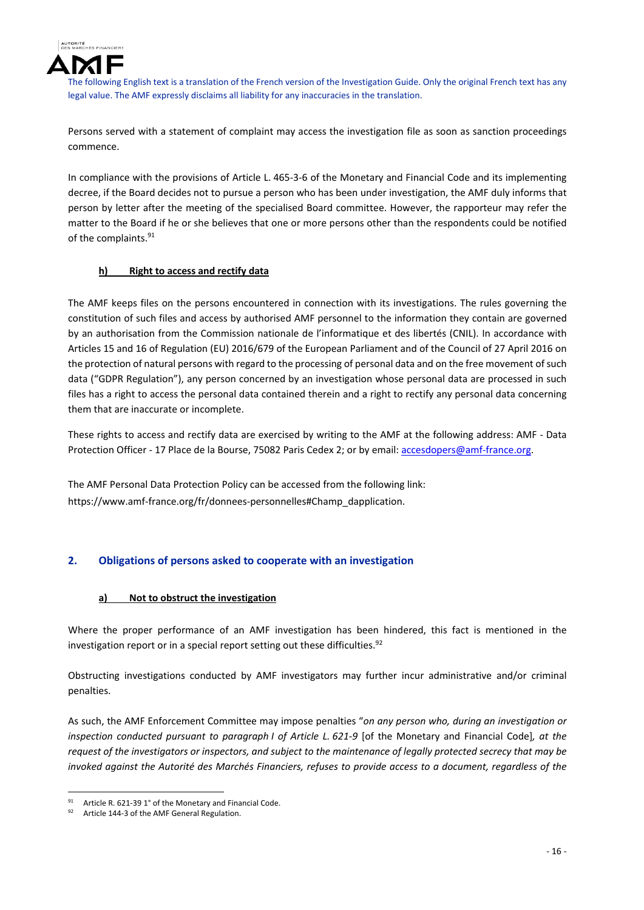

Persons served with a statement of complaint may access the investigation file as soon as sanction proceedings commence.

In compliance with the provisions of Article L. 465-3-6 of the Monetary and Financial Code and its implementing decree, if the Board decides not to pursue a person who has been under investigation, the AMF duly informs that person by letter after the meeting of the specialised Board committee. However, the rapporteur may refer the matter to the Board if he or she believes that one or more persons other than the respondents could be notified of the complaints.<sup>91</sup>

## **h) Right to access and rectify data**

The AMF keeps files on the persons encountered in connection with its investigations. The rules governing the constitution of such files and access by authorised AMF personnel to the information they contain are governed by an authorisation from the Commission nationale de l'informatique et des libertés (CNIL). In accordance with Articles 15 and 16 of Regulation (EU) 2016/679 of the European Parliament and of the Council of 27 April 2016 on the protection of natural persons with regard to the processing of personal data and on the free movement ofsuch data ("GDPR Regulation"), any person concerned by an investigation whose personal data are processed in such files has a right to access the personal data contained therein and a right to rectify any personal data concerning them that are inaccurate or incomplete.

These rights to access and rectify data are exercised by writing to the AMF at the following address: AMF ‐ Data Protection Officer - 17 Place de la Bourse, 75082 Paris Cedex 2; or by email: accesdopers@amf-france.org.

The AMF Personal Data Protection Policy can be accessed from the following link: https://www.amf-france.org/fr/donnees-personnelles#Champ\_dapplication.

## **2. Obligations of persons asked to cooperate with an investigation**

#### **a) Not to obstruct the investigation**

Where the proper performance of an AMF investigation has been hindered, this fact is mentioned in the investigation report or in a special report setting out these difficulties. $92$ 

Obstructing investigations conducted by AMF investigators may further incur administrative and/or criminal penalties.

As such, the AMF Enforcement Committee may impose penalties "*on any person who, during an investigation or inspection conducted pursuant to paragraph I of Article L. 621‐9* [of the Monetary and Financial Code]*, at the* request of the investigators or inspectors, and subject to the maintenance of legally protected secrecy that may be invoked against the Autorité des Marchés Financiers, refuses to provide access to a document, regardless of the

Article R. 621-39 1° of the Monetary and Financial Code.

Article 144-3 of the AMF General Regulation.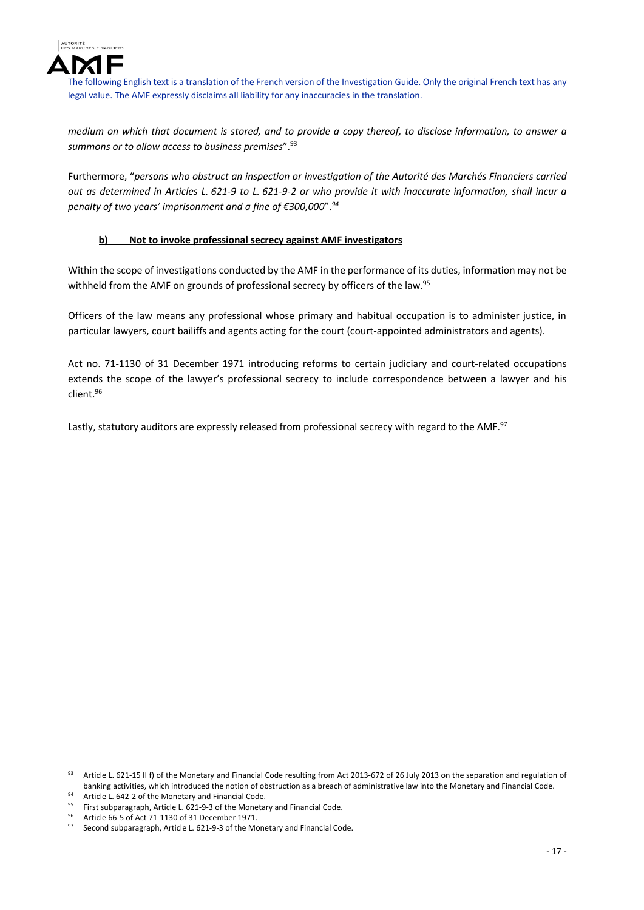

medium on which that document is stored, and to provide a copy thereof, to disclose information, to answer a *summons or to allow access to business premises*".93

Furthermore, "*persons who obstruct an inspection or investigation of the Autorité des Marchés Financiers carried* out as determined in Articles L. 621-9 to L. 621-9-2 or who provide it with inaccurate information, shall incur a *penalty of two years' imprisonment and a fine of €300,000*".*<sup>94</sup>*

## **b) Not to invoke professional secrecy against AMF investigators**

Within the scope of investigations conducted by the AMF in the performance of its duties, information may not be withheld from the AMF on grounds of professional secrecy by officers of the law.<sup>95</sup>

Officers of the law means any professional whose primary and habitual occupation is to administer justice, in particular lawyers, court bailiffs and agents acting for the court (court-appointed administrators and agents).

Act no. 71‐1130 of 31 December 1971 introducing reforms to certain judiciary and court‐related occupations extends the scope of the lawyer's professional secrecy to include correspondence between a lawyer and his client.96

Lastly, statutory auditors are expressly released from professional secrecy with regard to the AMF.<sup>97</sup>

 93 Article L. 621-15 II f) of the Monetary and Financial Code resulting from Act 2013-672 of 26 July 2013 on the separation and regulation of banking activities, which introduced the notion of obstruction as a breach of administrative law into the Monetary and Financial Code.

<sup>94</sup> Article L. 642-2 of the Monetary and Financial Code. First subparagraph, Article L. 621-9-3 of the Monetary and Financial Code.

<sup>&</sup>lt;sup>96</sup> Article 66-5 of Act 71-1130 of 31 December 1971.

Second subparagraph, Article L. 621-9-3 of the Monetary and Financial Code.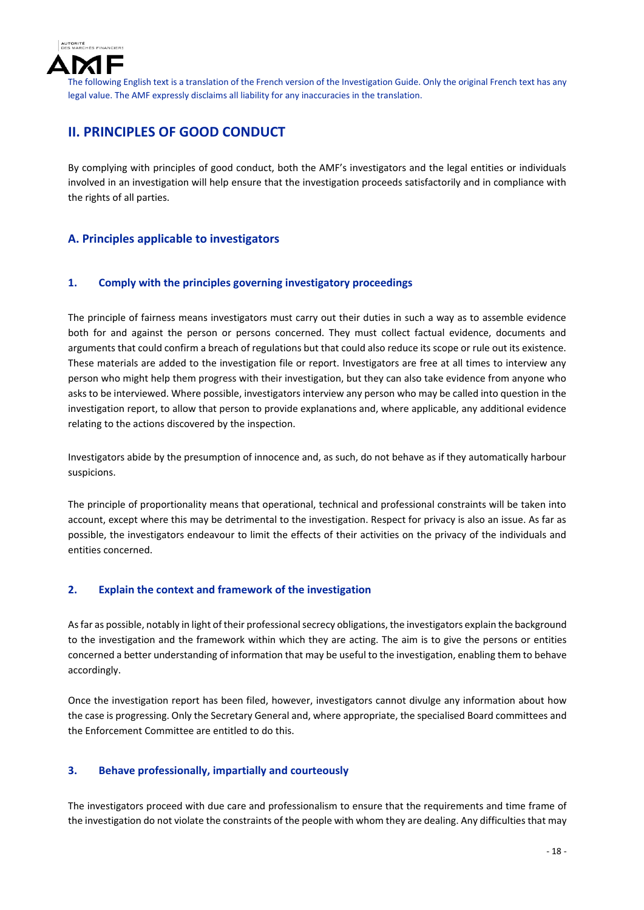

# **II. PRINCIPLES OF GOOD CONDUCT**

By complying with principles of good conduct, both the AMF's investigators and the legal entities or individuals involved in an investigation will help ensure that the investigation proceeds satisfactorily and in compliance with the rights of all parties.

## **A. Principles applicable to investigators**

## **1. Comply with the principles governing investigatory proceedings**

The principle of fairness means investigators must carry out their duties in such a way as to assemble evidence both for and against the person or persons concerned. They must collect factual evidence, documents and arguments that could confirm a breach of regulations but that could also reduce its scope or rule out its existence. These materials are added to the investigation file or report. Investigators are free at all times to interview any person who might help them progress with their investigation, but they can also take evidence from anyone who asks to be interviewed. Where possible, investigators interview any person who may be called into question in the investigation report, to allow that person to provide explanations and, where applicable, any additional evidence relating to the actions discovered by the inspection.

Investigators abide by the presumption of innocence and, as such, do not behave as if they automatically harbour suspicions.

The principle of proportionality means that operational, technical and professional constraints will be taken into account, except where this may be detrimental to the investigation. Respect for privacy is also an issue. As far as possible, the investigators endeavour to limit the effects of their activities on the privacy of the individuals and entities concerned.

## **2. Explain the context and framework of the investigation**

As far as possible, notably in light of their professional secrecy obligations, the investigators explain the background to the investigation and the framework within which they are acting. The aim is to give the persons or entities concerned a better understanding of information that may be useful to the investigation, enabling them to behave accordingly.

Once the investigation report has been filed, however, investigators cannot divulge any information about how the case is progressing. Only the Secretary General and, where appropriate, the specialised Board committees and the Enforcement Committee are entitled to do this.

## **3. Behave professionally, impartially and courteously**

The investigators proceed with due care and professionalism to ensure that the requirements and time frame of the investigation do not violate the constraints of the people with whom they are dealing. Any difficulties that may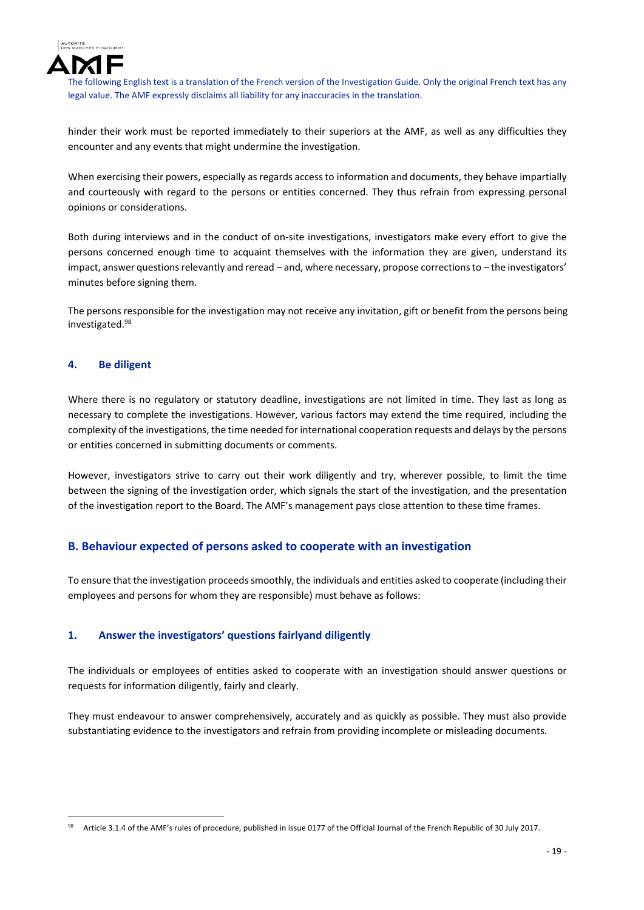

hinder their work must be reported immediately to their superiors at the AMF, as well as any difficulties they encounter and any events that might undermine the investigation.

When exercising their powers, especially as regards access to information and documents, they behave impartially and courteously with regard to the persons or entities concerned. They thus refrain from expressing personal opinions or considerations.

Both during interviews and in the conduct of on‐site investigations, investigators make every effort to give the persons concerned enough time to acquaint themselves with the information they are given, understand its impact, answer questions relevantly and reread – and, where necessary, propose corrections to – the investigators' minutes before signing them.

The persons responsible for the investigation may not receive any invitation, gift or benefit from the persons being investigated.98

#### **4. Be diligent**

Where there is no regulatory or statutory deadline, investigations are not limited in time. They last as long as necessary to complete the investigations. However, various factors may extend the time required, including the complexity of the investigations, the time needed for international cooperation requests and delays by the persons or entities concerned in submitting documents or comments.

However, investigators strive to carry out their work diligently and try, wherever possible, to limit the time between the signing of the investigation order, which signals the start of the investigation, and the presentation of the investigation report to the Board. The AMF's management pays close attention to these time frames.

## **B. Behaviour expected of persons asked to cooperate with an investigation**

To ensure that the investigation proceeds smoothly, the individuals and entities asked to cooperate (including their employees and persons for whom they are responsible) must behave as follows:

## **1. Answer the investigators' questions fairlyand diligently**

The individuals or employees of entities asked to cooperate with an investigation should answer questions or requests for information diligently, fairly and clearly.

They must endeavour to answer comprehensively, accurately and as quickly as possible. They must also provide substantiating evidence to the investigators and refrain from providing incomplete or misleading documents.

<sup>98</sup> Article 3.1.4 of the AMF's rules of procedure, published in issue 0177 of the Official Journal of the French Republic of 30 July 2017.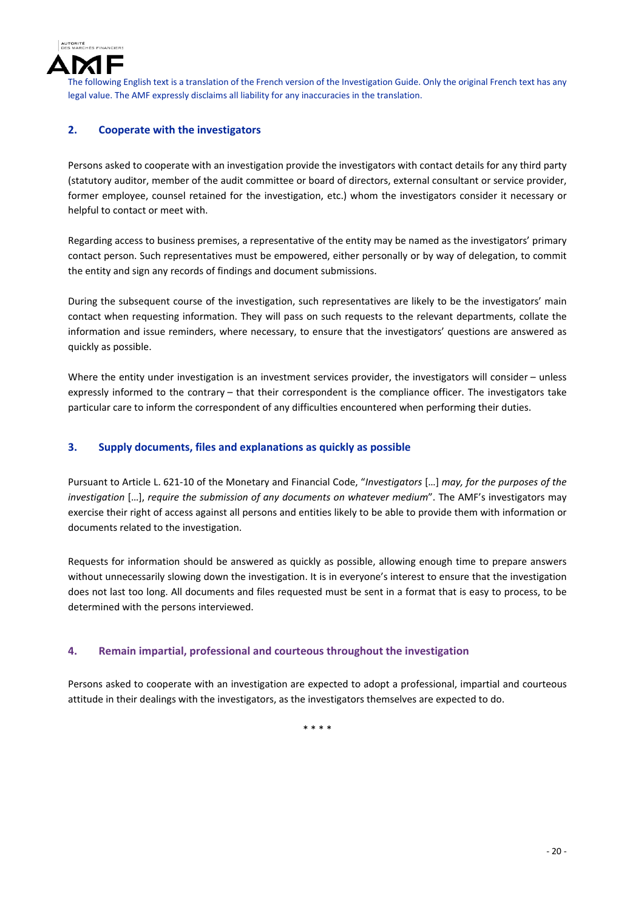

## **2. Cooperate with the investigators**

Persons asked to cooperate with an investigation provide the investigators with contact details for any third party (statutory auditor, member of the audit committee or board of directors, external consultant or service provider, former employee, counsel retained for the investigation, etc.) whom the investigators consider it necessary or helpful to contact or meet with.

Regarding access to business premises, a representative of the entity may be named as the investigators' primary contact person. Such representatives must be empowered, either personally or by way of delegation, to commit the entity and sign any records of findings and document submissions.

During the subsequent course of the investigation, such representatives are likely to be the investigators' main contact when requesting information. They will pass on such requests to the relevant departments, collate the information and issue reminders, where necessary, to ensure that the investigators' questions are answered as quickly as possible.

Where the entity under investigation is an investment services provider, the investigators will consider – unless expressly informed to the contrary – that their correspondent is the compliance officer. The investigators take particular care to inform the correspondent of any difficulties encountered when performing their duties.

## **3. Supply documents, files and explanations as quickly as possible**

Pursuant to Article L. 621‐10 of the Monetary and Financial Code, "*Investigators* […] *may, for the purposes of the investigation* […], *require the submission of any documents on whatever medium*". The AMF's investigators may exercise their right of access against all persons and entities likely to be able to provide them with information or documents related to the investigation.

Requests for information should be answered as quickly as possible, allowing enough time to prepare answers without unnecessarily slowing down the investigation. It is in everyone's interest to ensure that the investigation does not last too long. All documents and files requested must be sent in a format that is easy to process, to be determined with the persons interviewed.

## **4. Remain impartial, professional and courteous throughout the investigation**

Persons asked to cooperate with an investigation are expected to adopt a professional, impartial and courteous attitude in their dealings with the investigators, as the investigators themselves are expected to do.

\* \* \* \*